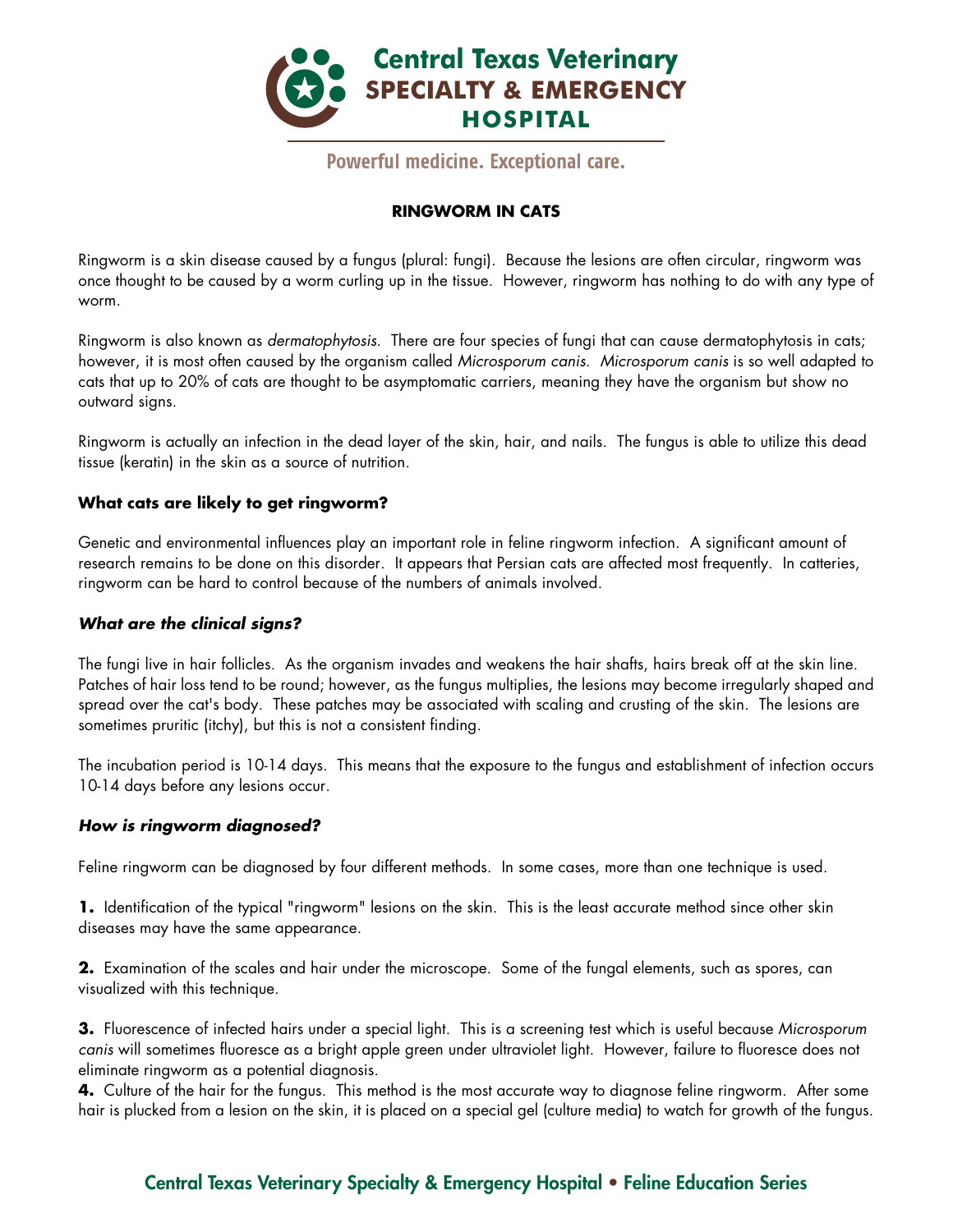

Powerful medicine. Exceptional care.

## **RINGWORM IN CATS**

Ringworm is a skin disease caused by a fungus (plural: fungi). Because the lesions are often circular, ringworm was once thought to be caused by a worm curling up in the tissue. However, ringworm has nothing to do with any type of worm.

Ringworm is also known as *dermatophytosis*. There are four species of fungi that can cause dermatophytosis in cats; however, it is most often caused by the organism called *Microsporum canis*. *Microsporum canis* is so well adapted to cats that up to 20% of cats are thought to be asymptomatic carriers, meaning they have the organism but show no outward signs.

Ringworm is actually an infection in the dead layer of the skin, hair, and nails. The fungus is able to utilize this dead tissue (keratin) in the skin as a source of nutrition.

### **What cats are likely to get ringworm?**

Genetic and environmental influences play an important role in feline ringworm infection. A significant amount of research remains to be done on this disorder. It appears that Persian cats are affected most frequently. In catteries, ringworm can be hard to control because of the numbers of animals involved.

#### *What are the clinical signs?*

The fungi live in hair follicles. As the organism invades and weakens the hair shafts, hairs break off at the skin line. Patches of hair loss tend to be round; however, as the fungus multiplies, the lesions may become irregularly shaped and spread over the cat's body. These patches may be associated with scaling and crusting of the skin. The lesions are sometimes pruritic (itchy), but this is not a consistent finding.

The incubation period is 10-14 days. This means that the exposure to the fungus and establishment of infection occurs 10-14 days before any lesions occur.

#### *How is ringworm diagnosed?*

Feline ringworm can be diagnosed by four different methods. In some cases, more than one technique is used.

**1.** Identification of the typical "ringworm" lesions on the skin. This is the least accurate method since other skin diseases may have the same appearance.

**2.** Examination of the scales and hair under the microscope. Some of the fungal elements, such as spores, can visualized with this technique.

**3.** Fluorescence of infected hairs under a special light. This is a screening test which is useful because *Microsporum canis* will sometimes fluoresce as a bright apple green under ultraviolet light. However, failure to fluoresce does not eliminate ringworm as a potential diagnosis.

**4.** Culture of the hair for the fungus. This method is the most accurate way to diagnose feline ringworm. After some hair is plucked from a lesion on the skin, it is placed on a special gel (culture media) to watch for growth of the fungus.

# Central Texas Veterinary Specialty & Emergency Hospital • Feline Education Series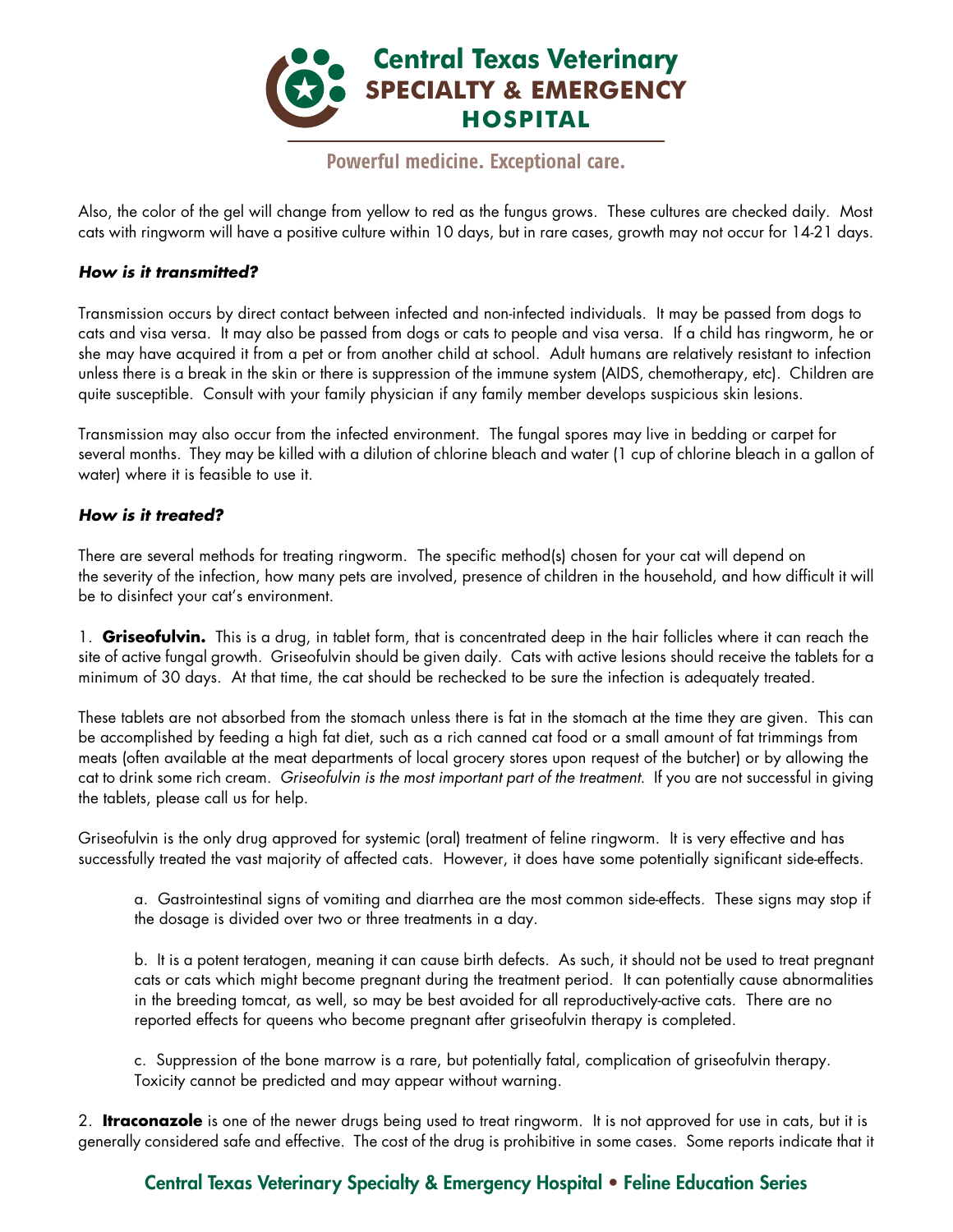

# Powerful medicine. Exceptional care.

Also, the color of the gel will change from yellow to red as the fungus grows. These cultures are checked daily. Most cats with ringworm will have a positive culture within 10 days, but in rare cases, growth may not occur for 14-21 days.

## *How is it transmitted?*

Transmission occurs by direct contact between infected and non-infected individuals. It may be passed from dogs to cats and visa versa. It may also be passed from dogs or cats to people and visa versa. If a child has ringworm, he or she may have acquired it from a pet or from another child at school. Adult humans are relatively resistant to infection unless there is a break in the skin or there is suppression of the immune system (AIDS, chemotherapy, etc). Children are quite susceptible. Consult with your family physician if any family member develops suspicious skin lesions.

Transmission may also occur from the infected environment. The fungal spores may live in bedding or carpet for several months. They may be killed with a dilution of chlorine bleach and water (1 cup of chlorine bleach in a gallon of water) where it is feasible to use it.

### *How is it treated?*

There are several methods for treating ringworm. The specific method(s) chosen for your cat will depend on the severity of the infection, how many pets are involved, presence of children in the household, and how difficult it will be to disinfect your cat's environment.

1. **Griseofulvin.** This is a drug, in tablet form, that is concentrated deep in the hair follicles where it can reach the site of active fungal growth. Griseofulvin should be given daily. Cats with active lesions should receive the tablets for a minimum of 30 days. At that time, the cat should be rechecked to be sure the infection is adequately treated.

These tablets are not absorbed from the stomach unless there is fat in the stomach at the time they are given. This can be accomplished by feeding a high fat diet, such as a rich canned cat food or a small amount of fat trimmings from meats (often available at the meat departments of local grocery stores upon request of the butcher) or by allowing the cat to drink some rich cream. *Griseofulvin is the most important part of the treatment*. If you are not successful in giving the tablets, please call us for help.

Griseofulvin is the only drug approved for systemic (oral) treatment of feline ringworm. It is very effective and has successfully treated the vast majority of affected cats. However, it does have some potentially significant side-effects.

a. Gastrointestinal signs of vomiting and diarrhea are the most common side-effects. These signs may stop if the dosage is divided over two or three treatments in a day.

b. It is a potent teratogen, meaning it can cause birth defects. As such, it should not be used to treat pregnant cats or cats which might become pregnant during the treatment period. It can potentially cause abnormalities in the breeding tomcat, as well, so may be best avoided for all reproductively-active cats. There are no reported effects for queens who become pregnant after griseofulvin therapy is completed.

c. Suppression of the bone marrow is a rare, but potentially fatal, complication of griseofulvin therapy. Toxicity cannot be predicted and may appear without warning.

2. **Itraconazole** is one of the newer drugs being used to treat ringworm. It is not approved for use in cats, but it is generally considered safe and effective. The cost of the drug is prohibitive in some cases. Some reports indicate that it

# Central Texas Veterinary Specialty & Emergency Hospital • Feline Education Series